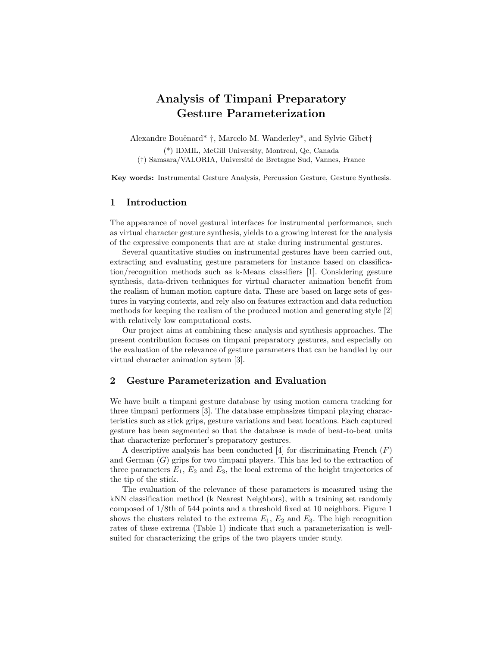# Analysis of Timpani Preparatory Gesture Parameterization

Alexandre Bouënard<sup>\*</sup> †, Marcelo M. Wanderley<sup>\*</sup>, and Sylvie Gibet<sup>†</sup>

(\*) IDMIL, McGill University, Montreal, Qc, Canada (†) Samsara/VALORIA, Université de Bretagne Sud, Vannes, France

Key words: Instrumental Gesture Analysis, Percussion Gesture, Gesture Synthesis.

## 1 Introduction

The appearance of novel gestural interfaces for instrumental performance, such as virtual character gesture synthesis, yields to a growing interest for the analysis of the expressive components that are at stake during instrumental gestures.

Several quantitative studies on instrumental gestures have been carried out, extracting and evaluating gesture parameters for instance based on classification/recognition methods such as k-Means classifiers [1]. Considering gesture synthesis, data-driven techniques for virtual character animation benefit from the realism of human motion capture data. These are based on large sets of gestures in varying contexts, and rely also on features extraction and data reduction methods for keeping the realism of the produced motion and generating style [2] with relatively low computational costs.

Our project aims at combining these analysis and synthesis approaches. The present contribution focuses on timpani preparatory gestures, and especially on the evaluation of the relevance of gesture parameters that can be handled by our virtual character animation sytem [3].

### 2 Gesture Parameterization and Evaluation

We have built a timpani gesture database by using motion camera tracking for three timpani performers [3]. The database emphasizes timpani playing characteristics such as stick grips, gesture variations and beat locations. Each captured gesture has been segmented so that the database is made of beat-to-beat units that characterize performer's preparatory gestures.

A descriptive analysis has been conducted [4] for discriminating French  $(F)$ and German  $(G)$  grips for two timpani players. This has led to the extraction of three parameters  $E_1, E_2$  and  $E_3$ , the local extrema of the height trajectories of the tip of the stick.

The evaluation of the relevance of these parameters is measured using the kNN classification method (k Nearest Neighbors), with a training set randomly composed of 1/8th of 544 points and a threshold fixed at 10 neighbors. Figure 1 shows the clusters related to the extrema  $E_1, E_2$  and  $E_3$ . The high recognition rates of these extrema (Table 1) indicate that such a parameterization is wellsuited for characterizing the grips of the two players under study.